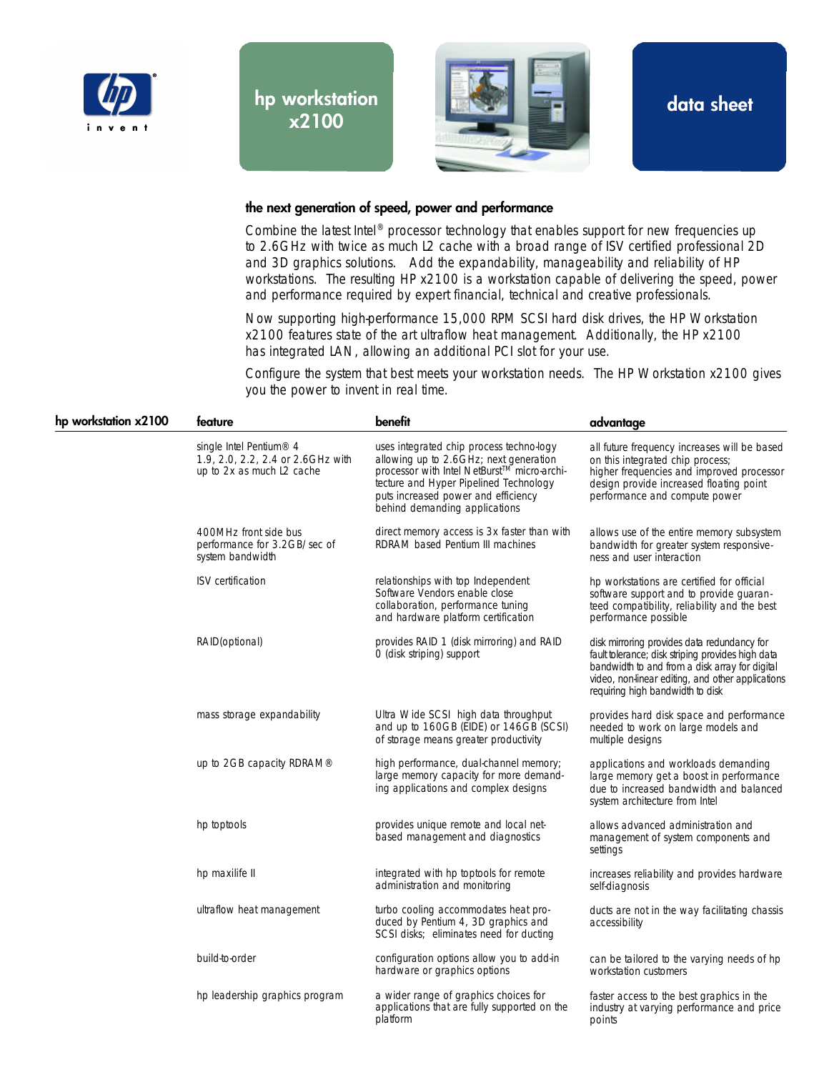

hp workstation x2100



data sheet

## the next generation of speed, power and performance

Combine the latest Intel® processor technology that enables support for new frequencies up to 2.6GHz with twice as much L2 cache with a broad range of ISV certified professional 2D and 3D graphics solutions. Add the expandability, manageability and reliability of HP workstations. The resulting HP x2100 is a workstation capable of delivering the speed, power and performance required by expert financial, technical and creative professionals.

Now supporting high-performance 15,000 RPM SCSI hard disk drives, the HP Workstation x2100 features state of the art ultraflow heat management. Additionally, the HP x2100 has integrated LAN, allowing an additional PCI slot for your use.

Configure the system that best meets your workstation needs. The HP Workstation x2100 gives you the power to invent in real time.

| hp workstation x2100 | feature                                                                                               | benefit                                                                                                                                                                                                                                             | advantage                                                                                                                                                                                                                                   |
|----------------------|-------------------------------------------------------------------------------------------------------|-----------------------------------------------------------------------------------------------------------------------------------------------------------------------------------------------------------------------------------------------------|---------------------------------------------------------------------------------------------------------------------------------------------------------------------------------------------------------------------------------------------|
|                      | single Intel Pentium <sup>®</sup> 4<br>1.9, 2.0, 2.2, 2.4 or 2.6GHz with<br>up to 2x as much L2 cache | uses integrated chip process techno-logy<br>allowing up to 2.6GHz; next generation<br>processor with Intel NetBurst™ micro-archi-<br>tecture and Hyper Pipelined Technology<br>puts increased power and efficiency<br>behind demanding applications | all future frequency increases will be based<br>on this integrated chip process;<br>higher frequencies and improved processor<br>design provide increased floating point<br>performance and compute power                                   |
|                      | 400MHz front side bus<br>performance for 3.2GB/sec of<br>system bandwidth                             | direct memory access is 3x faster than with<br>RDRAM based Pentium III machines                                                                                                                                                                     | allows use of the entire memory subsystem<br>bandwidth for greater system responsive-<br>ness and user interaction                                                                                                                          |
|                      | <b>ISV</b> certification                                                                              | relationships with top Independent<br>Software Vendors enable close<br>collaboration, performance tuning<br>and hardware platform certification                                                                                                     | hp workstations are certified for official<br>software support and to provide guaran-<br>teed compatibility, reliability and the best<br>performance possible                                                                               |
|                      | RAID(optional)                                                                                        | provides RAID 1 (disk mirroring) and RAID<br>O (disk striping) support                                                                                                                                                                              | disk mirroring provides data redundancy for<br>fault tolerance; disk striping provides high data<br>bandwidth to and from a disk array for digital<br>video, non-linear editing, and other applications<br>requiring high bandwidth to disk |
|                      | mass storage expandability                                                                            | Ultra Wide SCSI high data throughput<br>and up to 160GB (EIDE) or 146GB (SCSI)<br>of storage means greater productivity                                                                                                                             | provides hard disk space and performance<br>needed to work on large models and<br>multiple designs                                                                                                                                          |
|                      | up to $2GB$ capacity RDRAM <sup>®</sup>                                                               | high performance, dual-channel memory;<br>large memory capacity for more demand-<br>ing applications and complex designs                                                                                                                            | applications and workloads demanding<br>large memory get a boost in performance<br>due to increased bandwidth and balanced<br>system architecture from Intel                                                                                |
|                      | hp toptools                                                                                           | provides unique remote and local net-<br>based management and diagnostics                                                                                                                                                                           | allows advanced administration and<br>management of system components and<br>settings                                                                                                                                                       |
|                      | hp maxilife II                                                                                        | integrated with hp toptools for remote<br>administration and monitoring                                                                                                                                                                             | increases reliability and provides hardware<br>self-diagnosis                                                                                                                                                                               |
|                      | ultraflow heat management                                                                             | turbo cooling accommodates heat pro-<br>duced by Pentium 4, 3D graphics and<br>SCSI disks; eliminates need for ducting                                                                                                                              | ducts are not in the way facilitating chassis<br>accessibility                                                                                                                                                                              |
|                      | build-to-order                                                                                        | configuration options allow you to add-in<br>hardware or graphics options                                                                                                                                                                           | can be tailored to the varying needs of hp<br>workstation customers                                                                                                                                                                         |
|                      | hp leadership graphics program                                                                        | a wider range of graphics choices for<br>applications that are fully supported on the<br>platform                                                                                                                                                   | faster access to the best graphics in the<br>industry at varying performance and price<br>points                                                                                                                                            |